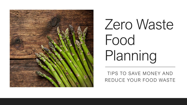

# Zero Waste Food Planning

TIPS TO SAVE MONEY AND REDUCE YOUR FOOD WASTE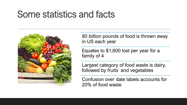## Some statistics and facts



80 billion pounds of food is thrown away in US each year

Equates to \$1,600 lost per year for a family of 4

Largest category of food waste is dairy, followed by fruits and vegetables

Confusion over date labels accounts for 20% of food waste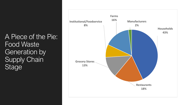A Piece of the Pie: Food Waste Generation by **Supply Chain** Stage

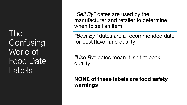The **Confusing** World of Food Date Labels

"*Sell By"* dates are used by the manufacturer and retailer to determine when to sell an item

*"Best By"* dates are a recommended date for best flavor and quality

*"Use By"* dates mean it isn't at peak quality

**NONE of these labels are food safety warnings**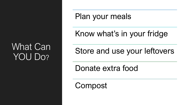### What Can YOU Do?

Plan your meals

#### Know what's in your fridge

Store and use your leftovers

Donate extra food

Compost